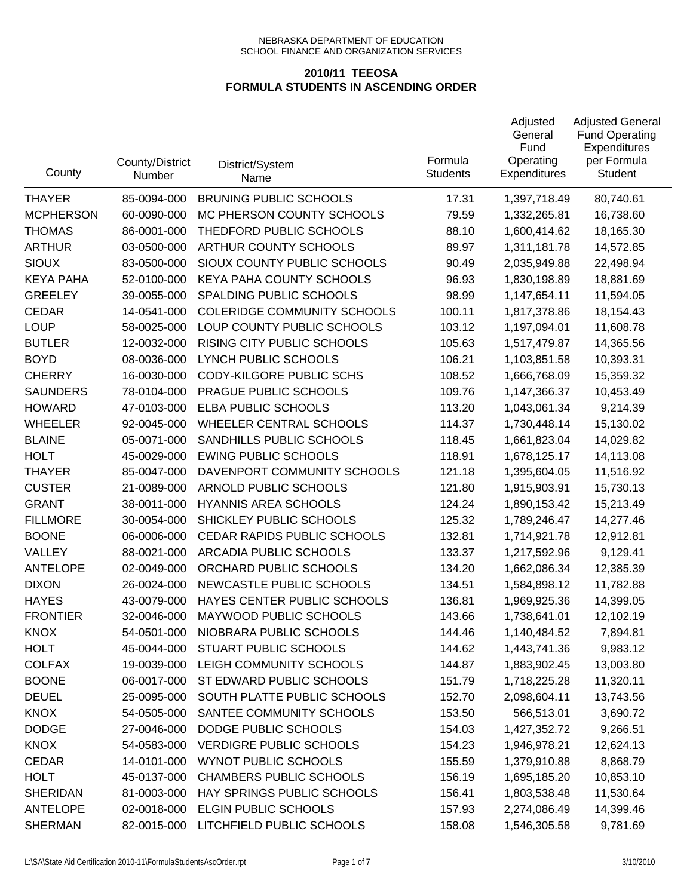| County           | County/District<br>Number | District/System<br>Name            | Formula<br><b>Students</b> | Adjusted<br>General<br>Fund<br>Operating<br>Expenditures | <b>Adjusted General</b><br><b>Fund Operating</b><br>Expenditures<br>per Formula<br><b>Student</b> |
|------------------|---------------------------|------------------------------------|----------------------------|----------------------------------------------------------|---------------------------------------------------------------------------------------------------|
| <b>THAYER</b>    | 85-0094-000               | <b>BRUNING PUBLIC SCHOOLS</b>      | 17.31                      | 1,397,718.49                                             | 80,740.61                                                                                         |
| <b>MCPHERSON</b> | 60-0090-000               | MC PHERSON COUNTY SCHOOLS          | 79.59                      | 1,332,265.81                                             | 16,738.60                                                                                         |
| <b>THOMAS</b>    | 86-0001-000               | THEDFORD PUBLIC SCHOOLS            | 88.10                      | 1,600,414.62                                             | 18,165.30                                                                                         |
| <b>ARTHUR</b>    | 03-0500-000               | ARTHUR COUNTY SCHOOLS              | 89.97                      | 1,311,181.78                                             | 14,572.85                                                                                         |
| <b>SIOUX</b>     | 83-0500-000               | SIOUX COUNTY PUBLIC SCHOOLS        | 90.49                      | 2,035,949.88                                             | 22,498.94                                                                                         |
| <b>KEYA PAHA</b> | 52-0100-000               | KEYA PAHA COUNTY SCHOOLS           | 96.93                      | 1,830,198.89                                             | 18,881.69                                                                                         |
| <b>GREELEY</b>   | 39-0055-000               | SPALDING PUBLIC SCHOOLS            | 98.99                      | 1,147,654.11                                             | 11,594.05                                                                                         |
| <b>CEDAR</b>     | 14-0541-000               | <b>COLERIDGE COMMUNITY SCHOOLS</b> | 100.11                     | 1,817,378.86                                             | 18,154.43                                                                                         |
| <b>LOUP</b>      | 58-0025-000               | LOUP COUNTY PUBLIC SCHOOLS         | 103.12                     | 1,197,094.01                                             | 11,608.78                                                                                         |
| <b>BUTLER</b>    | 12-0032-000               | <b>RISING CITY PUBLIC SCHOOLS</b>  | 105.63                     | 1,517,479.87                                             | 14,365.56                                                                                         |
| <b>BOYD</b>      | 08-0036-000               | LYNCH PUBLIC SCHOOLS               | 106.21                     | 1,103,851.58                                             | 10,393.31                                                                                         |
| <b>CHERRY</b>    | 16-0030-000               | <b>CODY-KILGORE PUBLIC SCHS</b>    | 108.52                     | 1,666,768.09                                             | 15,359.32                                                                                         |
| <b>SAUNDERS</b>  | 78-0104-000               | PRAGUE PUBLIC SCHOOLS              | 109.76                     | 1,147,366.37                                             | 10,453.49                                                                                         |
| <b>HOWARD</b>    | 47-0103-000               | <b>ELBA PUBLIC SCHOOLS</b>         | 113.20                     | 1,043,061.34                                             | 9,214.39                                                                                          |
| <b>WHEELER</b>   | 92-0045-000               | WHEELER CENTRAL SCHOOLS            | 114.37                     | 1,730,448.14                                             | 15,130.02                                                                                         |
| <b>BLAINE</b>    | 05-0071-000               | SANDHILLS PUBLIC SCHOOLS           | 118.45                     | 1,661,823.04                                             | 14,029.82                                                                                         |
| <b>HOLT</b>      | 45-0029-000               | <b>EWING PUBLIC SCHOOLS</b>        | 118.91                     | 1,678,125.17                                             | 14,113.08                                                                                         |
| <b>THAYER</b>    | 85-0047-000               | DAVENPORT COMMUNITY SCHOOLS        | 121.18                     | 1,395,604.05                                             | 11,516.92                                                                                         |
| <b>CUSTER</b>    | 21-0089-000               | ARNOLD PUBLIC SCHOOLS              | 121.80                     | 1,915,903.91                                             | 15,730.13                                                                                         |
| <b>GRANT</b>     | 38-0011-000               | <b>HYANNIS AREA SCHOOLS</b>        | 124.24                     | 1,890,153.42                                             | 15,213.49                                                                                         |
| <b>FILLMORE</b>  | 30-0054-000               | SHICKLEY PUBLIC SCHOOLS            | 125.32                     | 1,789,246.47                                             | 14,277.46                                                                                         |
| <b>BOONE</b>     | 06-0006-000               | <b>CEDAR RAPIDS PUBLIC SCHOOLS</b> | 132.81                     | 1,714,921.78                                             | 12,912.81                                                                                         |
| VALLEY           | 88-0021-000               | ARCADIA PUBLIC SCHOOLS             | 133.37                     | 1,217,592.96                                             | 9,129.41                                                                                          |
| <b>ANTELOPE</b>  | 02-0049-000               | ORCHARD PUBLIC SCHOOLS             | 134.20                     | 1,662,086.34                                             | 12,385.39                                                                                         |
| <b>DIXON</b>     | 26-0024-000               | NEWCASTLE PUBLIC SCHOOLS           | 134.51                     | 1,584,898.12                                             | 11,782.88                                                                                         |
| <b>HAYES</b>     | 43-0079-000               | HAYES CENTER PUBLIC SCHOOLS        | 136.81                     | 1,969,925.36                                             | 14,399.05                                                                                         |
| <b>FRONTIER</b>  | 32-0046-000               | MAYWOOD PUBLIC SCHOOLS             | 143.66                     | 1,738,641.01                                             | 12,102.19                                                                                         |
| <b>KNOX</b>      | 54-0501-000               | NIOBRARA PUBLIC SCHOOLS            | 144.46                     | 1,140,484.52                                             | 7,894.81                                                                                          |
| <b>HOLT</b>      | 45-0044-000               | STUART PUBLIC SCHOOLS              | 144.62                     | 1,443,741.36                                             | 9,983.12                                                                                          |
| <b>COLFAX</b>    | 19-0039-000               | LEIGH COMMUNITY SCHOOLS            | 144.87                     | 1,883,902.45                                             | 13,003.80                                                                                         |
| <b>BOONE</b>     | 06-0017-000               | ST EDWARD PUBLIC SCHOOLS           | 151.79                     | 1,718,225.28                                             | 11,320.11                                                                                         |
| <b>DEUEL</b>     | 25-0095-000               | SOUTH PLATTE PUBLIC SCHOOLS        | 152.70                     | 2,098,604.11                                             | 13,743.56                                                                                         |
| <b>KNOX</b>      | 54-0505-000               | SANTEE COMMUNITY SCHOOLS           | 153.50                     | 566,513.01                                               | 3,690.72                                                                                          |
| <b>DODGE</b>     | 27-0046-000               | DODGE PUBLIC SCHOOLS               | 154.03                     | 1,427,352.72                                             | 9,266.51                                                                                          |
| <b>KNOX</b>      | 54-0583-000               | <b>VERDIGRE PUBLIC SCHOOLS</b>     | 154.23                     | 1,946,978.21                                             | 12,624.13                                                                                         |
| <b>CEDAR</b>     | 14-0101-000               | <b>WYNOT PUBLIC SCHOOLS</b>        | 155.59                     | 1,379,910.88                                             | 8,868.79                                                                                          |
| <b>HOLT</b>      | 45-0137-000               | <b>CHAMBERS PUBLIC SCHOOLS</b>     | 156.19                     | 1,695,185.20                                             | 10,853.10                                                                                         |
| <b>SHERIDAN</b>  | 81-0003-000               | HAY SPRINGS PUBLIC SCHOOLS         | 156.41                     | 1,803,538.48                                             | 11,530.64                                                                                         |
| <b>ANTELOPE</b>  | 02-0018-000               | <b>ELGIN PUBLIC SCHOOLS</b>        | 157.93                     | 2,274,086.49                                             | 14,399.46                                                                                         |
| <b>SHERMAN</b>   | 82-0015-000               | LITCHFIELD PUBLIC SCHOOLS          | 158.08                     | 1,546,305.58                                             | 9,781.69                                                                                          |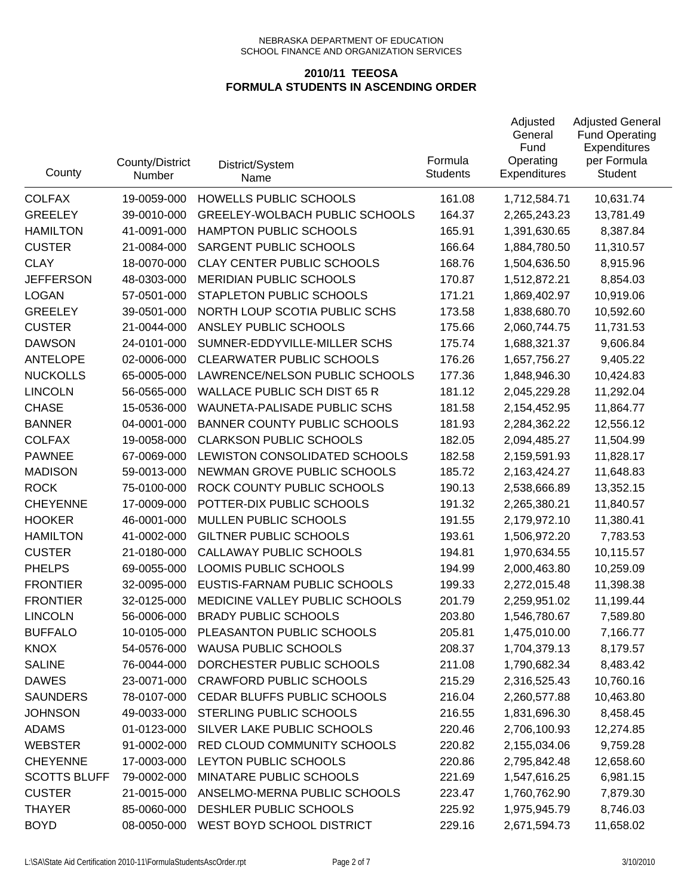| County              | County/District<br>Number | District/System<br>Name             | Formula<br><b>Students</b> | Adjusted<br>General<br>Fund<br>Operating<br><b>Expenditures</b> | <b>Adjusted General</b><br><b>Fund Operating</b><br>Expenditures<br>per Formula<br><b>Student</b> |
|---------------------|---------------------------|-------------------------------------|----------------------------|-----------------------------------------------------------------|---------------------------------------------------------------------------------------------------|
| <b>COLFAX</b>       | 19-0059-000               | HOWELLS PUBLIC SCHOOLS              | 161.08                     | 1,712,584.71                                                    | 10,631.74                                                                                         |
| <b>GREELEY</b>      | 39-0010-000               | GREELEY-WOLBACH PUBLIC SCHOOLS      | 164.37                     | 2,265,243.23                                                    | 13,781.49                                                                                         |
| <b>HAMILTON</b>     | 41-0091-000               | <b>HAMPTON PUBLIC SCHOOLS</b>       | 165.91                     | 1,391,630.65                                                    | 8,387.84                                                                                          |
| <b>CUSTER</b>       | 21-0084-000               | SARGENT PUBLIC SCHOOLS              | 166.64                     | 1,884,780.50                                                    | 11,310.57                                                                                         |
| <b>CLAY</b>         | 18-0070-000               | <b>CLAY CENTER PUBLIC SCHOOLS</b>   | 168.76                     | 1,504,636.50                                                    | 8,915.96                                                                                          |
| <b>JEFFERSON</b>    | 48-0303-000               | <b>MERIDIAN PUBLIC SCHOOLS</b>      | 170.87                     | 1,512,872.21                                                    | 8,854.03                                                                                          |
| <b>LOGAN</b>        | 57-0501-000               | STAPLETON PUBLIC SCHOOLS            | 171.21                     | 1,869,402.97                                                    | 10,919.06                                                                                         |
| <b>GREELEY</b>      | 39-0501-000               | NORTH LOUP SCOTIA PUBLIC SCHS       | 173.58                     | 1,838,680.70                                                    | 10,592.60                                                                                         |
| <b>CUSTER</b>       | 21-0044-000               | ANSLEY PUBLIC SCHOOLS               | 175.66                     | 2,060,744.75                                                    | 11,731.53                                                                                         |
| <b>DAWSON</b>       | 24-0101-000               | SUMNER-EDDYVILLE-MILLER SCHS        | 175.74                     | 1,688,321.37                                                    | 9,606.84                                                                                          |
| <b>ANTELOPE</b>     | 02-0006-000               | <b>CLEARWATER PUBLIC SCHOOLS</b>    | 176.26                     | 1,657,756.27                                                    | 9,405.22                                                                                          |
| <b>NUCKOLLS</b>     | 65-0005-000               | LAWRENCE/NELSON PUBLIC SCHOOLS      | 177.36                     | 1,848,946.30                                                    | 10,424.83                                                                                         |
| <b>LINCOLN</b>      | 56-0565-000               | <b>WALLACE PUBLIC SCH DIST 65 R</b> | 181.12                     | 2,045,229.28                                                    | 11,292.04                                                                                         |
| <b>CHASE</b>        | 15-0536-000               | WAUNETA-PALISADE PUBLIC SCHS        | 181.58                     | 2,154,452.95                                                    | 11,864.77                                                                                         |
| <b>BANNER</b>       | 04-0001-000               | <b>BANNER COUNTY PUBLIC SCHOOLS</b> | 181.93                     | 2,284,362.22                                                    | 12,556.12                                                                                         |
| <b>COLFAX</b>       | 19-0058-000               | <b>CLARKSON PUBLIC SCHOOLS</b>      | 182.05                     | 2,094,485.27                                                    | 11,504.99                                                                                         |
| <b>PAWNEE</b>       | 67-0069-000               | LEWISTON CONSOLIDATED SCHOOLS       | 182.58                     | 2,159,591.93                                                    | 11,828.17                                                                                         |
| <b>MADISON</b>      | 59-0013-000               | NEWMAN GROVE PUBLIC SCHOOLS         | 185.72                     | 2,163,424.27                                                    | 11,648.83                                                                                         |
| <b>ROCK</b>         | 75-0100-000               | ROCK COUNTY PUBLIC SCHOOLS          | 190.13                     | 2,538,666.89                                                    | 13,352.15                                                                                         |
| <b>CHEYENNE</b>     | 17-0009-000               | POTTER-DIX PUBLIC SCHOOLS           | 191.32                     | 2,265,380.21                                                    | 11,840.57                                                                                         |
| <b>HOOKER</b>       | 46-0001-000               | MULLEN PUBLIC SCHOOLS               | 191.55                     | 2,179,972.10                                                    | 11,380.41                                                                                         |
| <b>HAMILTON</b>     | 41-0002-000               | <b>GILTNER PUBLIC SCHOOLS</b>       | 193.61                     | 1,506,972.20                                                    | 7,783.53                                                                                          |
| <b>CUSTER</b>       | 21-0180-000               | CALLAWAY PUBLIC SCHOOLS             | 194.81                     | 1,970,634.55                                                    | 10,115.57                                                                                         |
| <b>PHELPS</b>       | 69-0055-000               | LOOMIS PUBLIC SCHOOLS               | 194.99                     | 2,000,463.80                                                    | 10,259.09                                                                                         |
| <b>FRONTIER</b>     | 32-0095-000               | EUSTIS-FARNAM PUBLIC SCHOOLS        | 199.33                     | 2,272,015.48                                                    | 11,398.38                                                                                         |
| <b>FRONTIER</b>     | 32-0125-000               | MEDICINE VALLEY PUBLIC SCHOOLS      | 201.79                     | 2,259,951.02                                                    | 11,199.44                                                                                         |
| <b>LINCOLN</b>      | 56-0006-000               | <b>BRADY PUBLIC SCHOOLS</b>         | 203.80                     | 1,546,780.67                                                    | 7,589.80                                                                                          |
| <b>BUFFALO</b>      | 10-0105-000               | PLEASANTON PUBLIC SCHOOLS           | 205.81                     | 1,475,010.00                                                    | 7,166.77                                                                                          |
| <b>KNOX</b>         | 54-0576-000               | <b>WAUSA PUBLIC SCHOOLS</b>         | 208.37                     | 1,704,379.13                                                    | 8,179.57                                                                                          |
| <b>SALINE</b>       | 76-0044-000               | DORCHESTER PUBLIC SCHOOLS           | 211.08                     | 1,790,682.34                                                    | 8,483.42                                                                                          |
| <b>DAWES</b>        | 23-0071-000               | <b>CRAWFORD PUBLIC SCHOOLS</b>      | 215.29                     | 2,316,525.43                                                    | 10,760.16                                                                                         |
| <b>SAUNDERS</b>     | 78-0107-000               | CEDAR BLUFFS PUBLIC SCHOOLS         | 216.04                     | 2,260,577.88                                                    | 10,463.80                                                                                         |
| <b>JOHNSON</b>      | 49-0033-000               | STERLING PUBLIC SCHOOLS             | 216.55                     | 1,831,696.30                                                    | 8,458.45                                                                                          |
| <b>ADAMS</b>        | 01-0123-000               | SILVER LAKE PUBLIC SCHOOLS          | 220.46                     | 2,706,100.93                                                    | 12,274.85                                                                                         |
| <b>WEBSTER</b>      | 91-0002-000               | RED CLOUD COMMUNITY SCHOOLS         | 220.82                     | 2,155,034.06                                                    | 9,759.28                                                                                          |
| <b>CHEYENNE</b>     | 17-0003-000               | LEYTON PUBLIC SCHOOLS               | 220.86                     | 2,795,842.48                                                    | 12,658.60                                                                                         |
| <b>SCOTTS BLUFF</b> | 79-0002-000               | MINATARE PUBLIC SCHOOLS             | 221.69                     | 1,547,616.25                                                    | 6,981.15                                                                                          |
| <b>CUSTER</b>       | 21-0015-000               | ANSELMO-MERNA PUBLIC SCHOOLS        | 223.47                     | 1,760,762.90                                                    | 7,879.30                                                                                          |
| <b>THAYER</b>       | 85-0060-000               | DESHLER PUBLIC SCHOOLS              | 225.92                     | 1,975,945.79                                                    | 8,746.03                                                                                          |
| <b>BOYD</b>         | 08-0050-000               | WEST BOYD SCHOOL DISTRICT           | 229.16                     | 2,671,594.73                                                    | 11,658.02                                                                                         |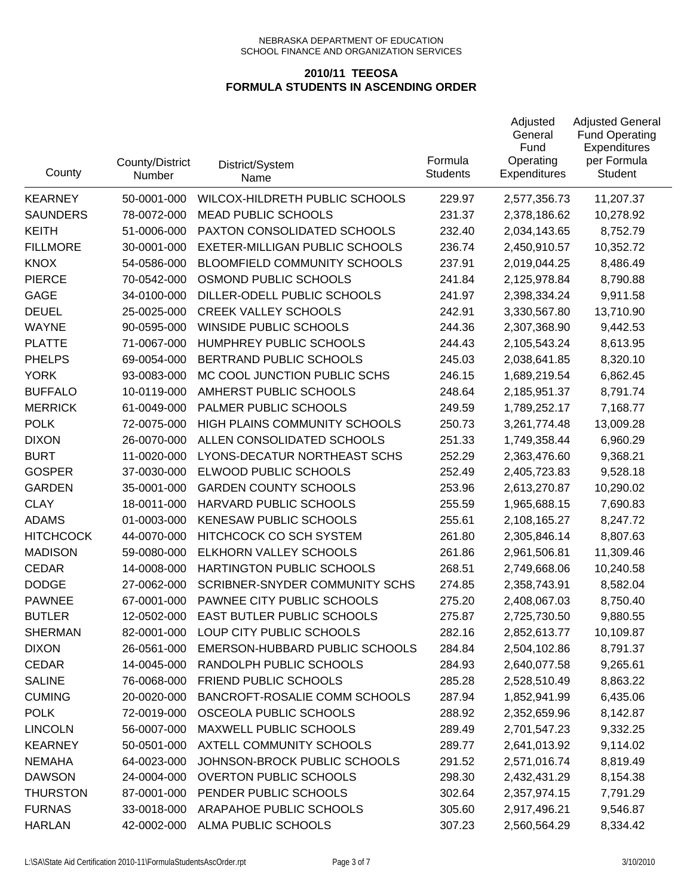| County           | County/District<br>Number | District/System<br>Name               | Formula<br><b>Students</b> | Adjusted<br>General<br>Fund<br>Operating<br><b>Expenditures</b> | <b>Adjusted General</b><br><b>Fund Operating</b><br>Expenditures<br>per Formula<br><b>Student</b> |
|------------------|---------------------------|---------------------------------------|----------------------------|-----------------------------------------------------------------|---------------------------------------------------------------------------------------------------|
| <b>KEARNEY</b>   | 50-0001-000               | WILCOX-HILDRETH PUBLIC SCHOOLS        | 229.97                     | 2,577,356.73                                                    | 11,207.37                                                                                         |
| <b>SAUNDERS</b>  | 78-0072-000               | <b>MEAD PUBLIC SCHOOLS</b>            | 231.37                     | 2,378,186.62                                                    | 10,278.92                                                                                         |
| <b>KEITH</b>     | 51-0006-000               | PAXTON CONSOLIDATED SCHOOLS           | 232.40                     | 2,034,143.65                                                    | 8,752.79                                                                                          |
| <b>FILLMORE</b>  | 30-0001-000               | <b>EXETER-MILLIGAN PUBLIC SCHOOLS</b> | 236.74                     | 2,450,910.57                                                    | 10,352.72                                                                                         |
| <b>KNOX</b>      | 54-0586-000               | BLOOMFIELD COMMUNITY SCHOOLS          | 237.91                     | 2,019,044.25                                                    | 8,486.49                                                                                          |
| <b>PIERCE</b>    | 70-0542-000               | OSMOND PUBLIC SCHOOLS                 | 241.84                     | 2,125,978.84                                                    | 8,790.88                                                                                          |
| <b>GAGE</b>      | 34-0100-000               | DILLER-ODELL PUBLIC SCHOOLS           | 241.97                     | 2,398,334.24                                                    | 9,911.58                                                                                          |
| <b>DEUEL</b>     | 25-0025-000               | <b>CREEK VALLEY SCHOOLS</b>           | 242.91                     | 3,330,567.80                                                    | 13,710.90                                                                                         |
| <b>WAYNE</b>     | 90-0595-000               | <b>WINSIDE PUBLIC SCHOOLS</b>         | 244.36                     | 2,307,368.90                                                    | 9,442.53                                                                                          |
| <b>PLATTE</b>    | 71-0067-000               | HUMPHREY PUBLIC SCHOOLS               | 244.43                     | 2,105,543.24                                                    | 8,613.95                                                                                          |
| <b>PHELPS</b>    | 69-0054-000               | BERTRAND PUBLIC SCHOOLS               | 245.03                     | 2,038,641.85                                                    | 8,320.10                                                                                          |
| <b>YORK</b>      | 93-0083-000               | MC COOL JUNCTION PUBLIC SCHS          | 246.15                     | 1,689,219.54                                                    | 6,862.45                                                                                          |
| <b>BUFFALO</b>   | 10-0119-000               | AMHERST PUBLIC SCHOOLS                | 248.64                     | 2,185,951.37                                                    | 8,791.74                                                                                          |
| <b>MERRICK</b>   | 61-0049-000               | PALMER PUBLIC SCHOOLS                 | 249.59                     | 1,789,252.17                                                    | 7,168.77                                                                                          |
| <b>POLK</b>      | 72-0075-000               | HIGH PLAINS COMMUNITY SCHOOLS         | 250.73                     | 3,261,774.48                                                    | 13,009.28                                                                                         |
| <b>DIXON</b>     | 26-0070-000               | ALLEN CONSOLIDATED SCHOOLS            | 251.33                     | 1,749,358.44                                                    | 6,960.29                                                                                          |
| <b>BURT</b>      | 11-0020-000               | LYONS-DECATUR NORTHEAST SCHS          | 252.29                     | 2,363,476.60                                                    | 9,368.21                                                                                          |
| <b>GOSPER</b>    | 37-0030-000               | ELWOOD PUBLIC SCHOOLS                 | 252.49                     | 2,405,723.83                                                    | 9,528.18                                                                                          |
| <b>GARDEN</b>    | 35-0001-000               | <b>GARDEN COUNTY SCHOOLS</b>          | 253.96                     | 2,613,270.87                                                    | 10,290.02                                                                                         |
| <b>CLAY</b>      | 18-0011-000               | HARVARD PUBLIC SCHOOLS                | 255.59                     | 1,965,688.15                                                    | 7,690.83                                                                                          |
| <b>ADAMS</b>     | 01-0003-000               | <b>KENESAW PUBLIC SCHOOLS</b>         | 255.61                     | 2,108,165.27                                                    | 8,247.72                                                                                          |
| <b>HITCHCOCK</b> | 44-0070-000               | HITCHCOCK CO SCH SYSTEM               | 261.80                     | 2,305,846.14                                                    | 8,807.63                                                                                          |
| <b>MADISON</b>   | 59-0080-000               | ELKHORN VALLEY SCHOOLS                | 261.86                     | 2,961,506.81                                                    | 11,309.46                                                                                         |
| <b>CEDAR</b>     | 14-0008-000               | HARTINGTON PUBLIC SCHOOLS             | 268.51                     | 2,749,668.06                                                    | 10,240.58                                                                                         |
| <b>DODGE</b>     | 27-0062-000               | <b>SCRIBNER-SNYDER COMMUNITY SCHS</b> | 274.85                     | 2,358,743.91                                                    | 8,582.04                                                                                          |
| <b>PAWNEE</b>    | 67-0001-000               | PAWNEE CITY PUBLIC SCHOOLS            | 275.20                     | 2,408,067.03                                                    | 8,750.40                                                                                          |
| <b>BUTLER</b>    | 12-0502-000               | EAST BUTLER PUBLIC SCHOOLS            | 275.87                     | 2,725,730.50                                                    | 9,880.55                                                                                          |
| <b>SHERMAN</b>   | 82-0001-000               | LOUP CITY PUBLIC SCHOOLS              | 282.16                     | 2,852,613.77                                                    | 10,109.87                                                                                         |
| <b>DIXON</b>     | 26-0561-000               | EMERSON-HUBBARD PUBLIC SCHOOLS        | 284.84                     | 2,504,102.86                                                    | 8,791.37                                                                                          |
| <b>CEDAR</b>     | 14-0045-000               | RANDOLPH PUBLIC SCHOOLS               | 284.93                     | 2,640,077.58                                                    | 9,265.61                                                                                          |
| <b>SALINE</b>    | 76-0068-000               | FRIEND PUBLIC SCHOOLS                 | 285.28                     | 2,528,510.49                                                    | 8,863.22                                                                                          |
| <b>CUMING</b>    | 20-0020-000               | BANCROFT-ROSALIE COMM SCHOOLS         | 287.94                     | 1,852,941.99                                                    | 6,435.06                                                                                          |
| <b>POLK</b>      | 72-0019-000               | OSCEOLA PUBLIC SCHOOLS                | 288.92                     | 2,352,659.96                                                    | 8,142.87                                                                                          |
| <b>LINCOLN</b>   | 56-0007-000               | MAXWELL PUBLIC SCHOOLS                | 289.49                     | 2,701,547.23                                                    | 9,332.25                                                                                          |
| <b>KEARNEY</b>   | 50-0501-000               | AXTELL COMMUNITY SCHOOLS              | 289.77                     | 2,641,013.92                                                    | 9,114.02                                                                                          |
| <b>NEMAHA</b>    | 64-0023-000               | JOHNSON-BROCK PUBLIC SCHOOLS          | 291.52                     | 2,571,016.74                                                    | 8,819.49                                                                                          |
| <b>DAWSON</b>    | 24-0004-000               | <b>OVERTON PUBLIC SCHOOLS</b>         | 298.30                     | 2,432,431.29                                                    | 8,154.38                                                                                          |
| <b>THURSTON</b>  | 87-0001-000               | PENDER PUBLIC SCHOOLS                 | 302.64                     | 2,357,974.15                                                    | 7,791.29                                                                                          |
| <b>FURNAS</b>    | 33-0018-000               | ARAPAHOE PUBLIC SCHOOLS               | 305.60                     | 2,917,496.21                                                    | 9,546.87                                                                                          |
| <b>HARLAN</b>    | 42-0002-000               | ALMA PUBLIC SCHOOLS                   | 307.23                     | 2,560,564.29                                                    | 8,334.42                                                                                          |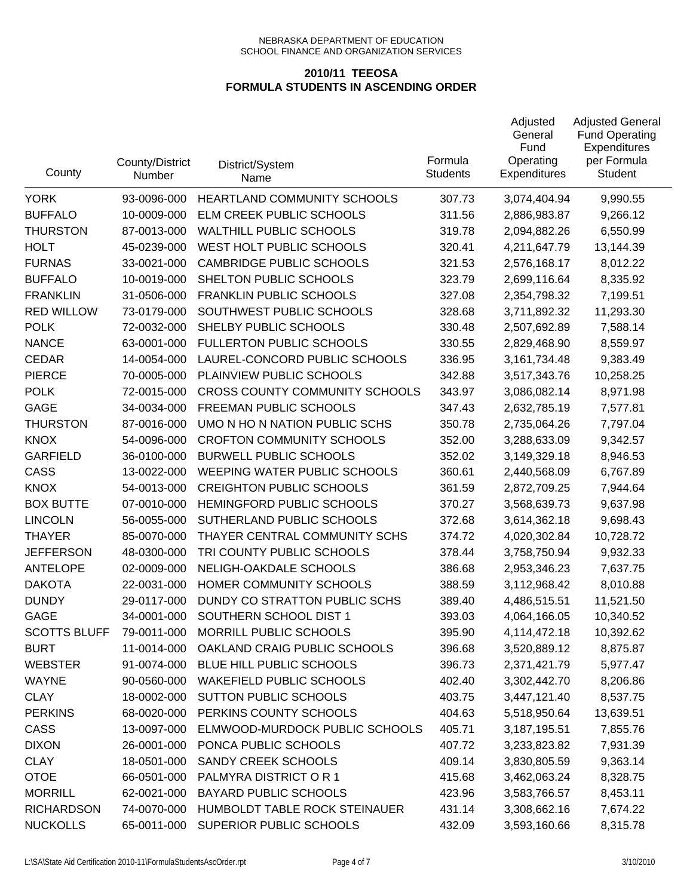| County              | County/District<br>Number | District/System<br>Name               | Formula<br><b>Students</b> | Adjusted<br>General<br>Fund<br>Operating<br><b>Expenditures</b> | <b>Adjusted General</b><br><b>Fund Operating</b><br>Expenditures<br>per Formula<br><b>Student</b> |
|---------------------|---------------------------|---------------------------------------|----------------------------|-----------------------------------------------------------------|---------------------------------------------------------------------------------------------------|
| <b>YORK</b>         | 93-0096-000               | HEARTLAND COMMUNITY SCHOOLS           | 307.73                     | 3,074,404.94                                                    | 9,990.55                                                                                          |
| <b>BUFFALO</b>      | 10-0009-000               | ELM CREEK PUBLIC SCHOOLS              | 311.56                     | 2,886,983.87                                                    | 9,266.12                                                                                          |
| <b>THURSTON</b>     | 87-0013-000               | <b>WALTHILL PUBLIC SCHOOLS</b>        | 319.78                     | 2,094,882.26                                                    | 6,550.99                                                                                          |
| <b>HOLT</b>         | 45-0239-000               | WEST HOLT PUBLIC SCHOOLS              | 320.41                     | 4,211,647.79                                                    | 13,144.39                                                                                         |
| <b>FURNAS</b>       | 33-0021-000               | <b>CAMBRIDGE PUBLIC SCHOOLS</b>       | 321.53                     | 2,576,168.17                                                    | 8,012.22                                                                                          |
| <b>BUFFALO</b>      | 10-0019-000               | SHELTON PUBLIC SCHOOLS                | 323.79                     | 2,699,116.64                                                    | 8,335.92                                                                                          |
| <b>FRANKLIN</b>     | 31-0506-000               | <b>FRANKLIN PUBLIC SCHOOLS</b>        | 327.08                     | 2,354,798.32                                                    | 7,199.51                                                                                          |
| <b>RED WILLOW</b>   | 73-0179-000               | SOUTHWEST PUBLIC SCHOOLS              | 328.68                     | 3,711,892.32                                                    | 11,293.30                                                                                         |
| <b>POLK</b>         | 72-0032-000               | SHELBY PUBLIC SCHOOLS                 | 330.48                     | 2,507,692.89                                                    | 7,588.14                                                                                          |
| <b>NANCE</b>        | 63-0001-000               | <b>FULLERTON PUBLIC SCHOOLS</b>       | 330.55                     | 2,829,468.90                                                    | 8,559.97                                                                                          |
| <b>CEDAR</b>        | 14-0054-000               | LAUREL-CONCORD PUBLIC SCHOOLS         | 336.95                     | 3,161,734.48                                                    | 9,383.49                                                                                          |
| <b>PIERCE</b>       | 70-0005-000               | PLAINVIEW PUBLIC SCHOOLS              | 342.88                     | 3,517,343.76                                                    | 10,258.25                                                                                         |
| <b>POLK</b>         | 72-0015-000               | <b>CROSS COUNTY COMMUNITY SCHOOLS</b> | 343.97                     | 3,086,082.14                                                    | 8,971.98                                                                                          |
| GAGE                | 34-0034-000               | FREEMAN PUBLIC SCHOOLS                | 347.43                     | 2,632,785.19                                                    | 7,577.81                                                                                          |
| <b>THURSTON</b>     | 87-0016-000               | UMO N HO N NATION PUBLIC SCHS         | 350.78                     | 2,735,064.26                                                    | 7,797.04                                                                                          |
| <b>KNOX</b>         | 54-0096-000               | <b>CROFTON COMMUNITY SCHOOLS</b>      | 352.00                     | 3,288,633.09                                                    | 9,342.57                                                                                          |
| <b>GARFIELD</b>     | 36-0100-000               | <b>BURWELL PUBLIC SCHOOLS</b>         | 352.02                     | 3,149,329.18                                                    | 8,946.53                                                                                          |
| CASS                | 13-0022-000               | WEEPING WATER PUBLIC SCHOOLS          | 360.61                     | 2,440,568.09                                                    | 6,767.89                                                                                          |
| <b>KNOX</b>         | 54-0013-000               | <b>CREIGHTON PUBLIC SCHOOLS</b>       | 361.59                     | 2,872,709.25                                                    | 7,944.64                                                                                          |
| <b>BOX BUTTE</b>    | 07-0010-000               | HEMINGFORD PUBLIC SCHOOLS             | 370.27                     | 3,568,639.73                                                    | 9,637.98                                                                                          |
| <b>LINCOLN</b>      | 56-0055-000               | SUTHERLAND PUBLIC SCHOOLS             | 372.68                     | 3,614,362.18                                                    | 9,698.43                                                                                          |
| <b>THAYER</b>       | 85-0070-000               | THAYER CENTRAL COMMUNITY SCHS         | 374.72                     | 4,020,302.84                                                    | 10,728.72                                                                                         |
| <b>JEFFERSON</b>    | 48-0300-000               | TRI COUNTY PUBLIC SCHOOLS             | 378.44                     | 3,758,750.94                                                    | 9,932.33                                                                                          |
| <b>ANTELOPE</b>     | 02-0009-000               | NELIGH-OAKDALE SCHOOLS                | 386.68                     | 2,953,346.23                                                    | 7,637.75                                                                                          |
| <b>DAKOTA</b>       | 22-0031-000               | HOMER COMMUNITY SCHOOLS               | 388.59                     | 3,112,968.42                                                    | 8,010.88                                                                                          |
| <b>DUNDY</b>        | 29-0117-000               | DUNDY CO STRATTON PUBLIC SCHS         | 389.40                     | 4,486,515.51                                                    | 11,521.50                                                                                         |
| GAGE                | 34-0001-000               | SOUTHERN SCHOOL DIST 1                | 393.03                     | 4,064,166.05                                                    | 10,340.52                                                                                         |
| <b>SCOTTS BLUFF</b> | 79-0011-000               | MORRILL PUBLIC SCHOOLS                | 395.90                     | 4,114,472.18                                                    | 10,392.62                                                                                         |
| <b>BURT</b>         | 11-0014-000               | OAKLAND CRAIG PUBLIC SCHOOLS          | 396.68                     | 3,520,889.12                                                    | 8,875.87                                                                                          |
| <b>WEBSTER</b>      | 91-0074-000               | BLUE HILL PUBLIC SCHOOLS              | 396.73                     | 2,371,421.79                                                    | 5,977.47                                                                                          |
| <b>WAYNE</b>        | 90-0560-000               | <b>WAKEFIELD PUBLIC SCHOOLS</b>       | 402.40                     | 3,302,442.70                                                    | 8,206.86                                                                                          |
| <b>CLAY</b>         | 18-0002-000               | <b>SUTTON PUBLIC SCHOOLS</b>          | 403.75                     | 3,447,121.40                                                    | 8,537.75                                                                                          |
| <b>PERKINS</b>      | 68-0020-000               | PERKINS COUNTY SCHOOLS                | 404.63                     | 5,518,950.64                                                    | 13,639.51                                                                                         |
| CASS                | 13-0097-000               | ELMWOOD-MURDOCK PUBLIC SCHOOLS        | 405.71                     | 3,187,195.51                                                    | 7,855.76                                                                                          |
| <b>DIXON</b>        | 26-0001-000               | PONCA PUBLIC SCHOOLS                  | 407.72                     | 3,233,823.82                                                    | 7,931.39                                                                                          |
| <b>CLAY</b>         | 18-0501-000               | SANDY CREEK SCHOOLS                   | 409.14                     | 3,830,805.59                                                    | 9,363.14                                                                                          |
| <b>OTOE</b>         | 66-0501-000               | PALMYRA DISTRICT OR 1                 | 415.68                     | 3,462,063.24                                                    | 8,328.75                                                                                          |
| <b>MORRILL</b>      | 62-0021-000               | <b>BAYARD PUBLIC SCHOOLS</b>          | 423.96                     | 3,583,766.57                                                    | 8,453.11                                                                                          |
| <b>RICHARDSON</b>   | 74-0070-000               | HUMBOLDT TABLE ROCK STEINAUER         | 431.14                     | 3,308,662.16                                                    | 7,674.22                                                                                          |
| <b>NUCKOLLS</b>     | 65-0011-000               | SUPERIOR PUBLIC SCHOOLS               | 432.09                     | 3,593,160.66                                                    | 8,315.78                                                                                          |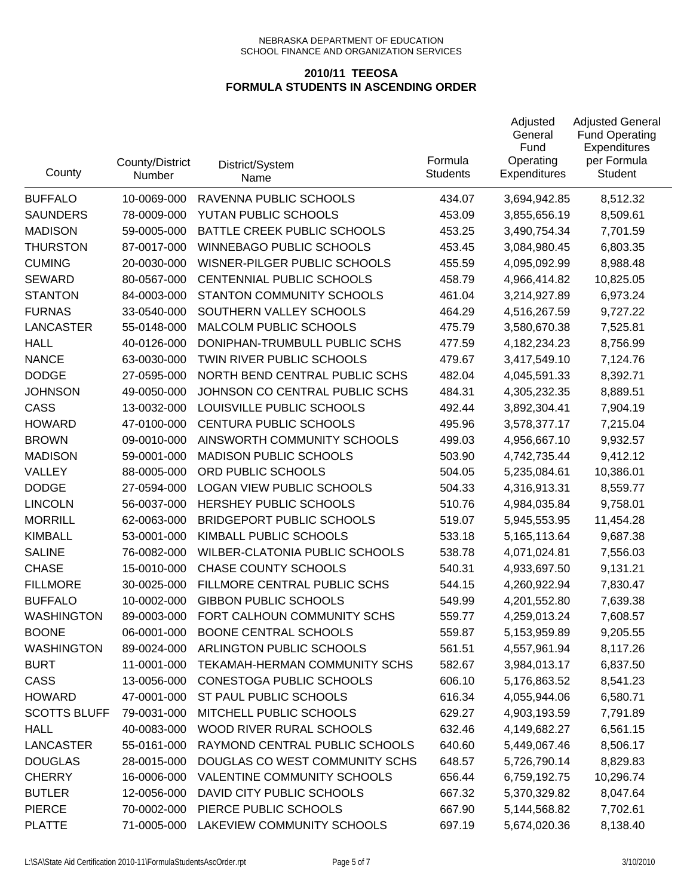| County              | County/District<br>Number | District/System<br>Name               | Formula<br><b>Students</b> | Adjusted<br>General<br>Fund<br>Operating<br>Expenditures | <b>Adjusted General</b><br><b>Fund Operating</b><br>Expenditures<br>per Formula<br>Student |
|---------------------|---------------------------|---------------------------------------|----------------------------|----------------------------------------------------------|--------------------------------------------------------------------------------------------|
| <b>BUFFALO</b>      | 10-0069-000               | RAVENNA PUBLIC SCHOOLS                | 434.07                     | 3,694,942.85                                             | 8,512.32                                                                                   |
| <b>SAUNDERS</b>     | 78-0009-000               | YUTAN PUBLIC SCHOOLS                  | 453.09                     | 3,855,656.19                                             | 8,509.61                                                                                   |
| <b>MADISON</b>      | 59-0005-000               | BATTLE CREEK PUBLIC SCHOOLS           | 453.25                     | 3,490,754.34                                             | 7,701.59                                                                                   |
| <b>THURSTON</b>     | 87-0017-000               | <b>WINNEBAGO PUBLIC SCHOOLS</b>       | 453.45                     | 3,084,980.45                                             | 6,803.35                                                                                   |
| <b>CUMING</b>       | 20-0030-000               | WISNER-PILGER PUBLIC SCHOOLS          | 455.59                     | 4,095,092.99                                             | 8,988.48                                                                                   |
| <b>SEWARD</b>       | 80-0567-000               | CENTENNIAL PUBLIC SCHOOLS             | 458.79                     | 4,966,414.82                                             | 10,825.05                                                                                  |
| <b>STANTON</b>      | 84-0003-000               | STANTON COMMUNITY SCHOOLS             | 461.04                     | 3,214,927.89                                             | 6,973.24                                                                                   |
| <b>FURNAS</b>       | 33-0540-000               | SOUTHERN VALLEY SCHOOLS               | 464.29                     | 4,516,267.59                                             | 9,727.22                                                                                   |
| <b>LANCASTER</b>    | 55-0148-000               | MALCOLM PUBLIC SCHOOLS                | 475.79                     | 3,580,670.38                                             | 7,525.81                                                                                   |
| <b>HALL</b>         | 40-0126-000               | DONIPHAN-TRUMBULL PUBLIC SCHS         | 477.59                     | 4,182,234.23                                             | 8,756.99                                                                                   |
| <b>NANCE</b>        | 63-0030-000               | TWIN RIVER PUBLIC SCHOOLS             | 479.67                     | 3,417,549.10                                             | 7,124.76                                                                                   |
| <b>DODGE</b>        | 27-0595-000               | NORTH BEND CENTRAL PUBLIC SCHS        | 482.04                     | 4,045,591.33                                             | 8,392.71                                                                                   |
| <b>JOHNSON</b>      | 49-0050-000               | JOHNSON CO CENTRAL PUBLIC SCHS        | 484.31                     | 4,305,232.35                                             | 8,889.51                                                                                   |
| CASS                | 13-0032-000               | LOUISVILLE PUBLIC SCHOOLS             | 492.44                     | 3,892,304.41                                             | 7,904.19                                                                                   |
| <b>HOWARD</b>       | 47-0100-000               | <b>CENTURA PUBLIC SCHOOLS</b>         | 495.96                     | 3,578,377.17                                             | 7,215.04                                                                                   |
| <b>BROWN</b>        | 09-0010-000               | AINSWORTH COMMUNITY SCHOOLS           | 499.03                     | 4,956,667.10                                             | 9,932.57                                                                                   |
| <b>MADISON</b>      | 59-0001-000               | <b>MADISON PUBLIC SCHOOLS</b>         | 503.90                     | 4,742,735.44                                             | 9,412.12                                                                                   |
| VALLEY              | 88-0005-000               | ORD PUBLIC SCHOOLS                    | 504.05                     | 5,235,084.61                                             | 10,386.01                                                                                  |
| <b>DODGE</b>        | 27-0594-000               | LOGAN VIEW PUBLIC SCHOOLS             | 504.33                     | 4,316,913.31                                             | 8,559.77                                                                                   |
| <b>LINCOLN</b>      | 56-0037-000               | HERSHEY PUBLIC SCHOOLS                | 510.76                     | 4,984,035.84                                             | 9,758.01                                                                                   |
| <b>MORRILL</b>      | 62-0063-000               | <b>BRIDGEPORT PUBLIC SCHOOLS</b>      | 519.07                     | 5,945,553.95                                             | 11,454.28                                                                                  |
| <b>KIMBALL</b>      | 53-0001-000               | KIMBALL PUBLIC SCHOOLS                | 533.18                     | 5,165,113.64                                             | 9,687.38                                                                                   |
| <b>SALINE</b>       | 76-0082-000               | <b>WILBER-CLATONIA PUBLIC SCHOOLS</b> | 538.78                     | 4,071,024.81                                             | 7,556.03                                                                                   |
| <b>CHASE</b>        | 15-0010-000               | <b>CHASE COUNTY SCHOOLS</b>           | 540.31                     | 4,933,697.50                                             | 9,131.21                                                                                   |
| <b>FILLMORE</b>     | 30-0025-000               | FILLMORE CENTRAL PUBLIC SCHS          | 544.15                     | 4,260,922.94                                             | 7,830.47                                                                                   |
| <b>BUFFALO</b>      | 10-0002-000               | <b>GIBBON PUBLIC SCHOOLS</b>          | 549.99                     | 4,201,552.80                                             | 7,639.38                                                                                   |
| <b>WASHINGTON</b>   | 89-0003-000               | FORT CALHOUN COMMUNITY SCHS           | 559.77                     | 4,259,013.24                                             | 7,608.57                                                                                   |
| <b>BOONE</b>        | 06-0001-000               | <b>BOONE CENTRAL SCHOOLS</b>          | 559.87                     | 5,153,959.89                                             | 9,205.55                                                                                   |
| <b>WASHINGTON</b>   | 89-0024-000               | ARLINGTON PUBLIC SCHOOLS              | 561.51                     | 4,557,961.94                                             | 8,117.26                                                                                   |
| <b>BURT</b>         | 11-0001-000               | TEKAMAH-HERMAN COMMUNITY SCHS         | 582.67                     | 3,984,013.17                                             | 6,837.50                                                                                   |
| CASS                | 13-0056-000               | CONESTOGA PUBLIC SCHOOLS              | 606.10                     | 5,176,863.52                                             | 8,541.23                                                                                   |
| <b>HOWARD</b>       | 47-0001-000               | ST PAUL PUBLIC SCHOOLS                | 616.34                     | 4,055,944.06                                             | 6,580.71                                                                                   |
| <b>SCOTTS BLUFF</b> | 79-0031-000               | MITCHELL PUBLIC SCHOOLS               | 629.27                     | 4,903,193.59                                             | 7,791.89                                                                                   |
| <b>HALL</b>         | 40-0083-000               | WOOD RIVER RURAL SCHOOLS              | 632.46                     | 4,149,682.27                                             | 6,561.15                                                                                   |
| <b>LANCASTER</b>    | 55-0161-000               | RAYMOND CENTRAL PUBLIC SCHOOLS        | 640.60                     | 5,449,067.46                                             | 8,506.17                                                                                   |
| <b>DOUGLAS</b>      | 28-0015-000               | DOUGLAS CO WEST COMMUNITY SCHS        | 648.57                     | 5,726,790.14                                             | 8,829.83                                                                                   |
| <b>CHERRY</b>       | 16-0006-000               | VALENTINE COMMUNITY SCHOOLS           | 656.44                     | 6,759,192.75                                             | 10,296.74                                                                                  |
| <b>BUTLER</b>       | 12-0056-000               | DAVID CITY PUBLIC SCHOOLS             | 667.32                     | 5,370,329.82                                             | 8,047.64                                                                                   |
| <b>PIERCE</b>       | 70-0002-000               | PIERCE PUBLIC SCHOOLS                 | 667.90                     | 5,144,568.82                                             | 7,702.61                                                                                   |
| <b>PLATTE</b>       | 71-0005-000               | LAKEVIEW COMMUNITY SCHOOLS            | 697.19                     | 5,674,020.36                                             | 8,138.40                                                                                   |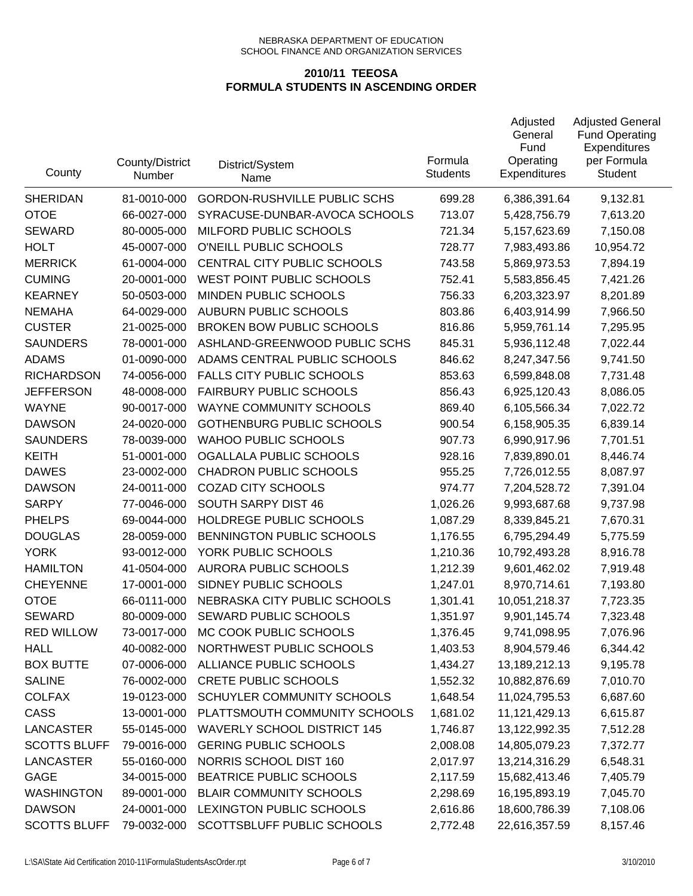| County              | County/District<br>Number | District/System<br>Name             | Formula<br><b>Students</b> | Adjusted<br>General<br>Fund<br>Operating<br>Expenditures | <b>Adjusted General</b><br><b>Fund Operating</b><br>Expenditures<br>per Formula<br>Student |
|---------------------|---------------------------|-------------------------------------|----------------------------|----------------------------------------------------------|--------------------------------------------------------------------------------------------|
| <b>SHERIDAN</b>     | 81-0010-000               | <b>GORDON-RUSHVILLE PUBLIC SCHS</b> | 699.28                     | 6,386,391.64                                             | 9,132.81                                                                                   |
| <b>OTOE</b>         | 66-0027-000               | SYRACUSE-DUNBAR-AVOCA SCHOOLS       | 713.07                     | 5,428,756.79                                             | 7,613.20                                                                                   |
| <b>SEWARD</b>       | 80-0005-000               | MILFORD PUBLIC SCHOOLS              | 721.34                     | 5,157,623.69                                             | 7,150.08                                                                                   |
| <b>HOLT</b>         | 45-0007-000               | O'NEILL PUBLIC SCHOOLS              | 728.77                     | 7,983,493.86                                             | 10,954.72                                                                                  |
| <b>MERRICK</b>      | 61-0004-000               | CENTRAL CITY PUBLIC SCHOOLS         | 743.58                     | 5,869,973.53                                             | 7,894.19                                                                                   |
| <b>CUMING</b>       | 20-0001-000               | WEST POINT PUBLIC SCHOOLS           | 752.41                     | 5,583,856.45                                             | 7,421.26                                                                                   |
| <b>KEARNEY</b>      | 50-0503-000               | MINDEN PUBLIC SCHOOLS               | 756.33                     | 6,203,323.97                                             | 8,201.89                                                                                   |
| <b>NEMAHA</b>       | 64-0029-000               | <b>AUBURN PUBLIC SCHOOLS</b>        | 803.86                     | 6,403,914.99                                             | 7,966.50                                                                                   |
| <b>CUSTER</b>       | 21-0025-000               | BROKEN BOW PUBLIC SCHOOLS           | 816.86                     | 5,959,761.14                                             | 7,295.95                                                                                   |
| <b>SAUNDERS</b>     | 78-0001-000               | ASHLAND-GREENWOOD PUBLIC SCHS       | 845.31                     | 5,936,112.48                                             | 7,022.44                                                                                   |
| <b>ADAMS</b>        | 01-0090-000               | ADAMS CENTRAL PUBLIC SCHOOLS        | 846.62                     | 8,247,347.56                                             | 9,741.50                                                                                   |
| <b>RICHARDSON</b>   | 74-0056-000               | <b>FALLS CITY PUBLIC SCHOOLS</b>    | 853.63                     | 6,599,848.08                                             | 7,731.48                                                                                   |
| <b>JEFFERSON</b>    | 48-0008-000               | <b>FAIRBURY PUBLIC SCHOOLS</b>      | 856.43                     | 6,925,120.43                                             | 8,086.05                                                                                   |
| <b>WAYNE</b>        | 90-0017-000               | <b>WAYNE COMMUNITY SCHOOLS</b>      | 869.40                     | 6,105,566.34                                             | 7,022.72                                                                                   |
| <b>DAWSON</b>       | 24-0020-000               | <b>GOTHENBURG PUBLIC SCHOOLS</b>    | 900.54                     | 6,158,905.35                                             | 6,839.14                                                                                   |
| <b>SAUNDERS</b>     | 78-0039-000               | <b>WAHOO PUBLIC SCHOOLS</b>         | 907.73                     | 6,990,917.96                                             | 7,701.51                                                                                   |
| <b>KEITH</b>        | 51-0001-000               | OGALLALA PUBLIC SCHOOLS             | 928.16                     | 7,839,890.01                                             | 8,446.74                                                                                   |
| <b>DAWES</b>        | 23-0002-000               | <b>CHADRON PUBLIC SCHOOLS</b>       | 955.25                     | 7,726,012.55                                             | 8,087.97                                                                                   |
| <b>DAWSON</b>       | 24-0011-000               | <b>COZAD CITY SCHOOLS</b>           | 974.77                     | 7,204,528.72                                             | 7,391.04                                                                                   |
| <b>SARPY</b>        | 77-0046-000               | SOUTH SARPY DIST 46                 | 1,026.26                   | 9,993,687.68                                             | 9,737.98                                                                                   |
| <b>PHELPS</b>       | 69-0044-000               | HOLDREGE PUBLIC SCHOOLS             | 1,087.29                   | 8,339,845.21                                             | 7,670.31                                                                                   |
| <b>DOUGLAS</b>      | 28-0059-000               | BENNINGTON PUBLIC SCHOOLS           | 1,176.55                   | 6,795,294.49                                             | 5,775.59                                                                                   |
| <b>YORK</b>         | 93-0012-000               | YORK PUBLIC SCHOOLS                 | 1,210.36                   | 10,792,493.28                                            | 8,916.78                                                                                   |
| <b>HAMILTON</b>     | 41-0504-000               | <b>AURORA PUBLIC SCHOOLS</b>        | 1,212.39                   | 9,601,462.02                                             | 7,919.48                                                                                   |
| <b>CHEYENNE</b>     | 17-0001-000               | SIDNEY PUBLIC SCHOOLS               | 1,247.01                   | 8,970,714.61                                             | 7,193.80                                                                                   |
| <b>OTOE</b>         | 66-0111-000               | NEBRASKA CITY PUBLIC SCHOOLS        | 1,301.41                   | 10,051,218.37                                            | 7,723.35                                                                                   |
| <b>SEWARD</b>       | 80-0009-000               | SEWARD PUBLIC SCHOOLS               | 1,351.97                   | 9,901,145.74                                             | 7,323.48                                                                                   |
| <b>RED WILLOW</b>   | 73-0017-000               | MC COOK PUBLIC SCHOOLS              | 1,376.45                   | 9,741,098.95                                             | 7,076.96                                                                                   |
| <b>HALL</b>         | 40-0082-000               | NORTHWEST PUBLIC SCHOOLS            | 1,403.53                   | 8,904,579.46                                             | 6,344.42                                                                                   |
| <b>BOX BUTTE</b>    | 07-0006-000               | ALLIANCE PUBLIC SCHOOLS             | 1,434.27                   | 13,189,212.13                                            | 9,195.78                                                                                   |
| <b>SALINE</b>       | 76-0002-000               | <b>CRETE PUBLIC SCHOOLS</b>         | 1,552.32                   | 10,882,876.69                                            | 7,010.70                                                                                   |
| <b>COLFAX</b>       | 19-0123-000               | SCHUYLER COMMUNITY SCHOOLS          | 1,648.54                   | 11,024,795.53                                            | 6,687.60                                                                                   |
| CASS                | 13-0001-000               | PLATTSMOUTH COMMUNITY SCHOOLS       | 1,681.02                   | 11,121,429.13                                            | 6,615.87                                                                                   |
| <b>LANCASTER</b>    | 55-0145-000               | <b>WAVERLY SCHOOL DISTRICT 145</b>  | 1,746.87                   | 13,122,992.35                                            | 7,512.28                                                                                   |
| <b>SCOTTS BLUFF</b> | 79-0016-000               | <b>GERING PUBLIC SCHOOLS</b>        | 2,008.08                   | 14,805,079.23                                            | 7,372.77                                                                                   |
| LANCASTER           | 55-0160-000               | NORRIS SCHOOL DIST 160              | 2,017.97                   | 13,214,316.29                                            | 6,548.31                                                                                   |
| GAGE                | 34-0015-000               | BEATRICE PUBLIC SCHOOLS             | 2,117.59                   | 15,682,413.46                                            | 7,405.79                                                                                   |
| <b>WASHINGTON</b>   | 89-0001-000               | <b>BLAIR COMMUNITY SCHOOLS</b>      | 2,298.69                   | 16,195,893.19                                            | 7,045.70                                                                                   |
| <b>DAWSON</b>       | 24-0001-000               | LEXINGTON PUBLIC SCHOOLS            | 2,616.86                   | 18,600,786.39                                            | 7,108.06                                                                                   |
| <b>SCOTTS BLUFF</b> | 79-0032-000               | SCOTTSBLUFF PUBLIC SCHOOLS          | 2,772.48                   | 22,616,357.59                                            | 8,157.46                                                                                   |